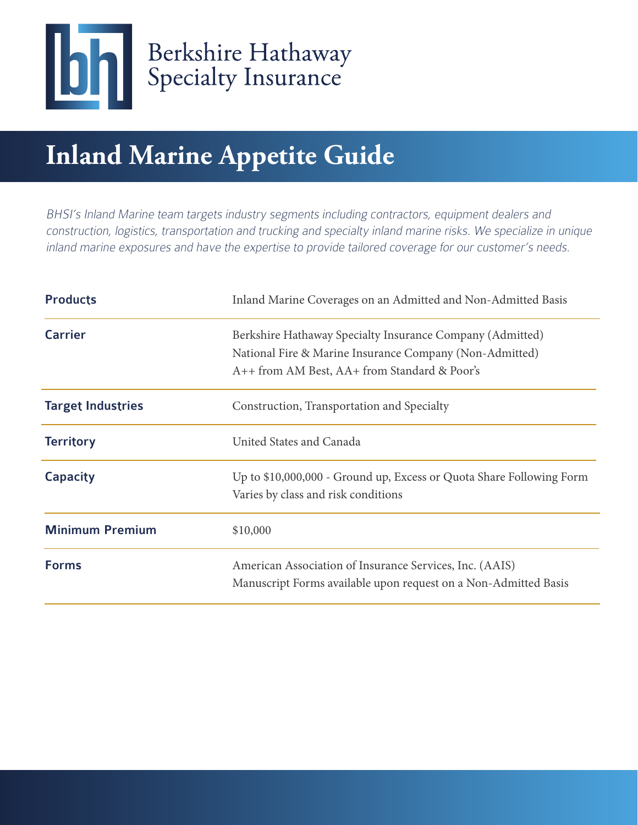

# **Inland Marine Appetite Guide**

BHSI's Inland Marine team targets industry segments including contractors, equipment dealers and construction, logistics, transportation and trucking and specialty inland marine risks. We specialize in unique inland marine exposures and have the expertise to provide tailored coverage for our customer's needs.

| <b>Products</b>          | Inland Marine Coverages on an Admitted and Non-Admitted Basis                                                                                                        |
|--------------------------|----------------------------------------------------------------------------------------------------------------------------------------------------------------------|
| <b>Carrier</b>           | Berkshire Hathaway Specialty Insurance Company (Admitted)<br>National Fire & Marine Insurance Company (Non-Admitted)<br>A++ from AM Best, AA+ from Standard & Poor's |
| <b>Target Industries</b> | Construction, Transportation and Specialty                                                                                                                           |
| <b>Territory</b>         | United States and Canada                                                                                                                                             |
| <b>Capacity</b>          | Up to \$10,000,000 - Ground up, Excess or Quota Share Following Form<br>Varies by class and risk conditions                                                          |
| <b>Minimum Premium</b>   | \$10,000                                                                                                                                                             |
| <b>Forms</b>             | American Association of Insurance Services, Inc. (AAIS)<br>Manuscript Forms available upon request on a Non-Admitted Basis                                           |